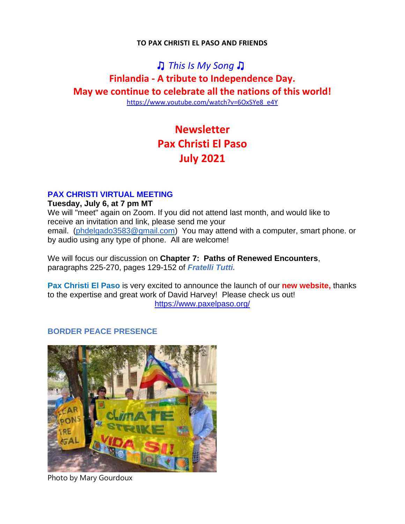#### **TO PAX CHRISTI EL PASO AND FRIENDS**

## ♫ *This Is My [Song](https://na01.safelinks.protection.outlook.com/?url=https%3A%2F%2Fsearch.aol.com%2Fclick%2F_ylt%3DAwrJ7JyPxJ5goHAAiGRpCWVH%3B_ylu%3DY29sbwNiZjEEcG9zAzEEdnRpZAMEc2VjA3Ny%2FRV%3D2%2FRE%3D1621046545%2FRO%3D10%2FRU%3Dhttps%253a%252f%252fwww.youtube.com%252fwatch%253fv%253dkTVQ4czdUn0%2FRK%3D0%2FRS%3DOEGJgG_QifedxclS1dMceSnTfzc-&data=04%7C01%7C%7Ce1b21c39b4ea427099c208d917477912%7C84df9e7fe9f640afb435aaaaaaaaaaaa%7C1%7C0%7C637566418020408589%7CUnknown%7CTWFpbGZsb3d8eyJWIjoiMC4wLjAwMDAiLCJQIjoiV2luMzIiLCJBTiI6Ik1haWwiLCJXVCI6Mn0%3D%7C1000&sdata=PA5ffNmvga3OVDYwfiDgJWmLQs9C5Q5xcuBTVxm%2Fzao%3D&reserved=0)* ♫ **Finlandia - A tribute to Independence Day. May we continue to celebrate all the nations of this world!**

[https://www.youtube.com/watch?v=6OxSYe8\\_e4Y](https://www.youtube.com/watch?v=6OxSYe8_e4Y)

# **Newsletter Pax Christi El Paso July 2021**

#### **PAX CHRISTI VIRTUAL MEETING**

#### **Tuesday, July 6, at 7 pm MT**

We will "meet" again on Zoom. If you did not attend last month, and would like to receive an invitation and link, please send me your email. [\(phdelgado3583@gmail.com\)](mailto:phdelgado3583@gmail.com) You may attend with a computer, smart phone. or by audio using any type of phone. All are welcome!

We will focus our discussion on **Chapter 7: Paths of Renewed Encounters**, paragraphs 225-270, pages 129-152 of *Fratelli Tutti.*

**Pax Christi El Paso** is very excited to announce the launch of our **new website,** thanks to the expertise and great work of David Harvey! Please check us out! <https://www.paxelpaso.org/>

### **BORDER PEACE PRESENCE**



Photo by Mary Gourdoux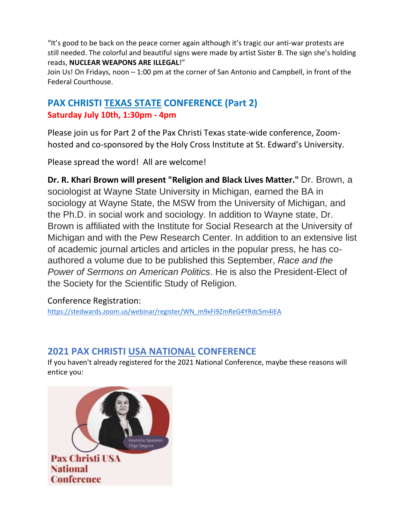"It's good to be back on the peace corner again although it's tragic our anti-war protests are still needed. The colorful and beautiful signs were made by artist Sister B. The sign she's holding reads, **NUCLEAR WEAPONS ARE ILLEGAL**!"

Join Us! On Fridays, noon – 1:00 pm at the corner of San Antonio and Campbell, in front of the Federal Courthouse.

## **PAX CHRISTI TEXAS STATE CONFERENCE (Part 2) Saturday July 10th, 1:30pm - 4pm**

Please join us for Part 2 of the Pax Christi Texas state-wide conference, Zoomhosted and co-sponsored by the Holy Cross Institute at St. Edward's University.

Please spread the word! All are welcome!

**Dr. R. Khari Brown will present "Religion and Black Lives Matter."** Dr. Brown, a sociologist at Wayne State University in Michigan, earned the BA in sociology at Wayne State, the MSW from the University of Michigan, and the Ph.D. in social work and sociology. In addition to Wayne state, Dr. Brown is affiliated with the Institute for Social Research at the University of Michigan and with the Pew Research Center. In addition to an extensive list of academic journal articles and articles in the popular press, he has coauthored a volume due to be published this September, *Race and the Power of Sermons on American Politics*. He is also the President-Elect of the Society for the Scientific Study of Religion.

Conference Registration:

[https://stedwards.zoom.us/webinar/register/WN\\_m9xFi9ZmReG4YRdc5m4iEA](https://stedwards.zoom.us/webinar/register/WN_m9xFi9ZmReG4YRdc5m4iEA)

## **2021 PAX CHRISTI USA NATIONAL CONFERENCE**

If you haven't already registered for the 2021 National Conference, maybe these reasons will entice you:

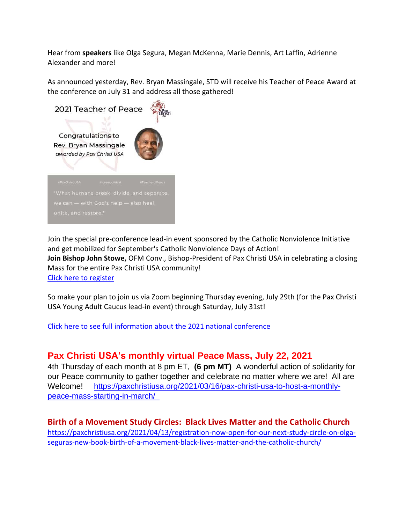Hear from **speakers** like Olga Segura, Megan McKenna, Marie Dennis, Art Laffin, Adrienne Alexander and more!

As announced yesterday, Rev. Bryan Massingale, STD will receive his Teacher of Peace Award at the conference on July 31 and address all those gathered!



Join the special pre-conference lead-in event sponsored by the Catholic Nonviolence Initiative and get mobilized for September's Catholic Nonviolence Days of Action! **Join Bishop John Stowe,** OFM Conv., Bishop-President of Pax Christi USA in celebrating a closing Mass for the entire Pax Christi USA community! Click here to [register](https://docs.google.com/forms/d/e/1FAIpQLSfrIUuFkbmPVGy2WgvOJLYoCtpskYRl6Ayd6R6lzsVvj8unbw/viewform)

So make your plan to join us via Zoom beginning Thursday evening, July 29th (for the Pax Christi USA Young Adult Caucus lead-in event) through Saturday, July 31st!

Click here to see full [information](https://paxchristiusa.org/2021-pax-christi-usa-national-conference/) about the 2021 national conference

### **Pax Christi USA's monthly virtual Peace Mass, July 22, 2021**

4th Thursday of each month at 8 pm ET, **(6 pm MT)** A wonderful action of solidarity for our Peace community to gather together and celebrate no matter where we are! All are Welcome! [https://paxchristiusa.org/2021/03/16/pax-christi-usa-to-host-a-monthly](https://na01.safelinks.protection.outlook.com/?url=https%3A%2F%2Fpaxchristiusa.org%2F2021%2F03%2F16%2Fpax-christi-usa-to-host-a-monthly-peace-mass-starting-in-march%2F&data=04%7C01%7C%7Ca2bc553a2b5f4fdd703f08d90cd050a0%7C84df9e7fe9f640afb435aaaaaaaaaaaa%7C1%7C0%7C637554911272360372%7CUnknown%7CTWFpbGZsb3d8eyJWIjoiMC4wLjAwMDAiLCJQIjoiV2luMzIiLCJBTiI6Ik1haWwiLCJXVCI6Mn0%3D%7C1000&sdata=UGOj963eW4pN%2B4OcwzxE2ApJ6VVaMVjie37OENuaMEs%3D&reserved=0)[peace-mass-starting-in-march/](https://na01.safelinks.protection.outlook.com/?url=https%3A%2F%2Fpaxchristiusa.org%2F2021%2F03%2F16%2Fpax-christi-usa-to-host-a-monthly-peace-mass-starting-in-march%2F&data=04%7C01%7C%7Ca2bc553a2b5f4fdd703f08d90cd050a0%7C84df9e7fe9f640afb435aaaaaaaaaaaa%7C1%7C0%7C637554911272360372%7CUnknown%7CTWFpbGZsb3d8eyJWIjoiMC4wLjAwMDAiLCJQIjoiV2luMzIiLCJBTiI6Ik1haWwiLCJXVCI6Mn0%3D%7C1000&sdata=UGOj963eW4pN%2B4OcwzxE2ApJ6VVaMVjie37OENuaMEs%3D&reserved=0) 

**Birth of a Movement Study Circles: Black Lives Matter and the Catholic Church** [https://paxchristiusa.org/2021/04/13/registration-now-open-for-our-next-study-circle-on-olga](https://paxchristiusa.org/2021/04/13/registration-now-open-for-our-next-study-circle-on-olga-seguras-new-book-birth-of-a-movement-black-lives-matter-and-the-catholic-church/)[seguras-new-book-birth-of-a-movement-black-lives-matter-and-the-catholic-church/](https://paxchristiusa.org/2021/04/13/registration-now-open-for-our-next-study-circle-on-olga-seguras-new-book-birth-of-a-movement-black-lives-matter-and-the-catholic-church/)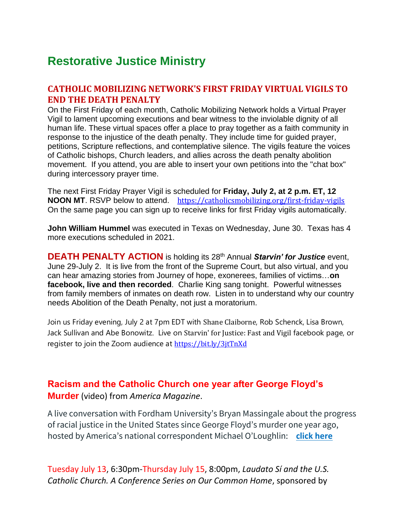# **Restorative Justice Ministry**

### **CATHOLIC MOBILIZING NETWORK'S FIRST FRIDAY VIRTUAL VIGILS TO END THE DEATH PENALTY**

On the First Friday of each month, Catholic Mobilizing Network holds a Virtual Prayer Vigil to lament upcoming executions and bear witness to the inviolable dignity of all human life. These virtual spaces offer a place to pray together as a faith community in response to the injustice of the death penalty. They include time for guided prayer, petitions, Scripture reflections, and contemplative silence. The vigils feature the voices of Catholic bishops, Church leaders, and allies across the death penalty abolition movement. If you attend, you are able to insert your own petitions into the "chat box" during intercessory prayer time.

The next First Friday Prayer Vigil is scheduled for **Friday, July 2, at 2 p.m. ET, 12 NOON MT**. RSVP below to attend. <https://catholicsmobilizing.org/first-friday-vigils> On the same page you can sign up to receive links for first Friday vigils automatically.

**John William Hummel** was executed in Texas on Wednesday, June 30.Texas has 4 more executions scheduled in 2021.

**DEATH PENALTY ACTION** is holding its 28th Annual *Starvin' for Justice* event, June 29-July 2. It is live from the front of the Supreme Court, but also virtual, and you can hear amazing stories from Journey of hope, exonerees, families of victims…**on facebook, live and then recorded**. Charlie King sang tonight. Powerful witnesses from family members of inmates on death row. Listen in to understand why our country needs Abolition of the Death Penalty, not just a moratorium.

Join us Friday evening, July 2 at 7pm EDT with Shane [Claiborne](https://www.facebook.com/ShaneClaiborne?__cft__%5b0%5d=AZUZhHsQfip7OLZlw_TVQVjm9hU7HXcNTqKIdLdSCpAQm38pK0TsFPHq5Tv5lSiv5mOJmtsCaU_UNXp0dZJsZQdXgLNoH83FRjO1Zr-jcqJBFTKsl0XMkc9OfKWhP9PjSZ4FxqPkgd3KGXz_vd1SNVxb&__tn__=-%5dK-R), Rob Schenck, Lisa Brown, Jack Sullivan and Abe Bonowitz. Live on [Starvin'](https://www.facebook.com/fastandvigil/?__cft__%5b0%5d=AZUZhHsQfip7OLZlw_TVQVjm9hU7HXcNTqKIdLdSCpAQm38pK0TsFPHq5Tv5lSiv5mOJmtsCaU_UNXp0dZJsZQdXgLNoH83FRjO1Zr-jcqJBFTKsl0XMkc9OfKWhP9PjSZ4FxqPkgd3KGXz_vd1SNVxb&__tn__=kK-R) for Justice: Fast and Vigil facebook page, or register to join the Zoom audience at [https://bit.ly/3jtTnXd](https://bit.ly/3jtTnXd?fbclid=IwAR3GkEOoqbFLg9uqiX8hr8-F1XKQx3U91_HabEcCjp03-q5kgc0Mu7lk_rM)

### **Racism and the Catholic Church one year after George Floyd's Murder** (video) from *America Magazine*.

A live conversation with Fordham University's Bryan Massingale about the progress of racial justice in the United States since George Floyd's murder one year ago, hosted by America's national correspondent Michael O'Loughlin: **[click here](https://paxchristiusa.org/2021/05/25/racism-and-the-catholic-church-one-year-after-george-floyds-murder/)**

Tuesday July 13, 6:30pm-Thursday July 15, 8:00pm, *Laudato Sí and the U.S. Catholic Church. A Conference Series on Our Common Home*, sponsored by